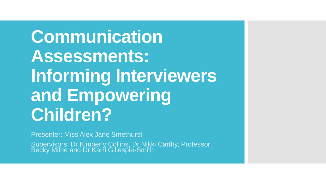**Communication Assessments: Informing Interviewers and Empowering Children?**

Presenter: Miss Alex Jane Smethurst

Supervisors: Dr Kimberly Collins, Dr Nikki Carthy, Professor Becky Milne and Dr Karrt Gillespie-Smith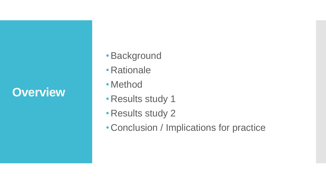## **Overview**

- •Background
- Rationale
- Method
- Results study 1
- Results study 2
- Conclusion / Implications for practice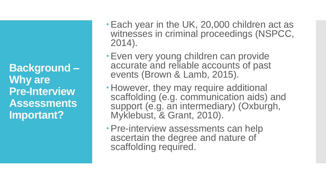**Background – Why are Pre-Interview Assessments Important?** 

- Each year in the UK, 20,000 children act as witnesses in criminal proceedings (NSPCC, 2014).
- Even very young children can provide accurate and reliable accounts of past events (Brown & Lamb, 2015).
- However, they may require additional scaffolding (e.g. communication aids) and support (e.g. an intermediary) (Oxburgh, Myklebust, & Grant, 2010).
- Pre-interview assessments can help ascertain the degree and nature of scaffolding required.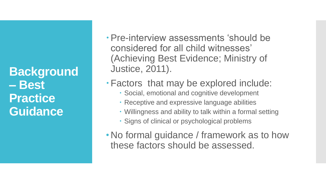**Background – Best Practice Guidance**

- Pre-interview assessments 'should be considered for all child witnesses' (Achieving Best Evidence; Ministry of Justice, 2011).
- Factors that may be explored include:
	- Social, emotional and cognitive development
	- Receptive and expressive language abilities
	- Willingness and ability to talk within a formal setting
	- Signs of clinical or psychological problems
- No formal guidance / framework as to how these factors should be assessed.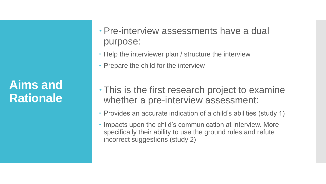**Aims and Rationale**

- Pre-interview assessments have a dual purpose:
- Help the interviewer plan / structure the interview
- Prepare the child for the interview
- This is the first research project to examine whether a pre-interview assessment:
- Provides an accurate indication of a child's abilities (study 1)
- Impacts upon the child's communication at interview. More specifically their ability to use the ground rules and refute incorrect suggestions (study 2)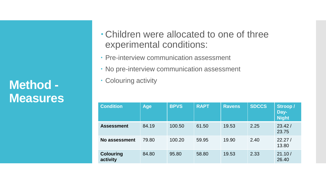**Method - Measures**

- Children were allocated to one of three experimental conditions:
- Pre-interview communication assessment
- No pre-interview communication assessment
- Colouring activity

| <b>Condition</b>             | <b>Age</b> | <b>BPVS</b> | <b>RAPT</b> | <b>Ravens</b> | <b>SDCCS</b> | Stroop /<br>Day-<br><b>Night</b> |
|------------------------------|------------|-------------|-------------|---------------|--------------|----------------------------------|
| <b>Assessment</b>            | 84.19      | 100.50      | 61.50       | 19.53         | 2.25         | 23.42/<br>23.75                  |
| No assessment                | 79.80      | 100.20      | 59.95       | 19.90         | 2.40         | 22.27/<br>13.80                  |
| <b>Colouring</b><br>activity | 84.80      | 95.80       | 58.80       | 19.53         | 2.33         | 21.10/<br>26.40                  |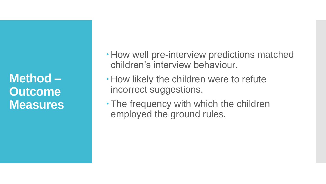**Method – Outcome Measures**

- How well pre-interview predictions matched children's interview behaviour.
- How likely the children were to refute incorrect suggestions.
- The frequency with which the children employed the ground rules.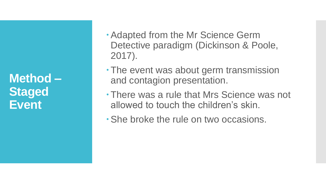**Method – Staged Event** 

- Adapted from the Mr Science Germ Detective paradigm (Dickinson & Poole, 2017).
- The event was about germ transmission and contagion presentation.
- There was a rule that Mrs Science was not allowed to touch the children's skin.
- She broke the rule on two occasions.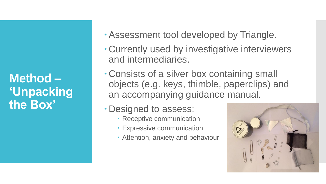**Method – 'Unpacking the Box'**

- Assessment tool developed by Triangle.
- Currently used by investigative interviewers and intermediaries.
- Consists of a silver box containing small objects (e.g. keys, thimble, paperclips) and an accompanying guidance manual.
- Designed to assess:
	- Receptive communication
	- Expressive communication
	- Attention, anxiety and behaviour

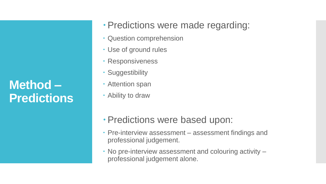**Method – Predictions** 

- Predictions were made regarding:
- Question comprehension
- Use of ground rules
- Responsiveness
- Suggestibility
- Attention span
- Ability to draw
- Predictions were based upon:
- Pre-interview assessment assessment findings and professional judgement.
- No pre-interview assessment and colouring activity professional judgement alone.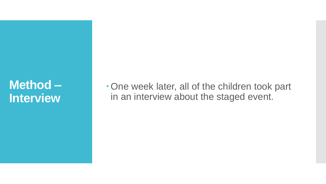## **Method – Interview**

One week later, all of the children took part in an interview about the staged event.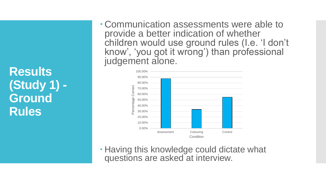**Results (Study 1) - Ground Rules** 

 Communication assessments were able to provide a better indication of whether children would use ground rules (I.e. 'I don't know', 'you got it wrong') than professional judgement alone.



 Having this knowledge could dictate what questions are asked at interview.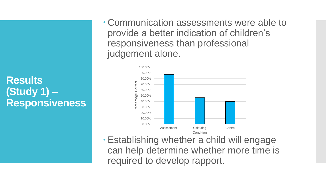**Results (Study 1) – Responsiveness**  Communication assessments were able to provide a better indication of children's responsiveness than professional judgement alone.



Establishing whether a child will engage can help determine whether more time is required to develop rapport.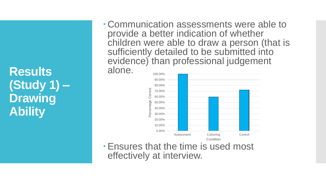**Results (Study 1) – Drawing Ability** 

 Communication assessments were able to provide a better indication of whether children were able to draw a person (that is sufficiently detailed to be submitted into evidence) than professional judgement

alone.



Ensures that the time is used most effectively at interview.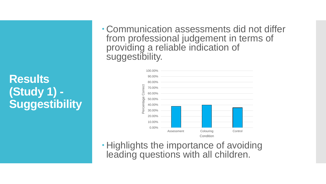**Results (Study 1) - Suggestibility**   Communication assessments did not differ from professional judgement in terms of providing a reliable indication of suggestibility.



**· Highlights the importance of avoiding** leading questions with all children.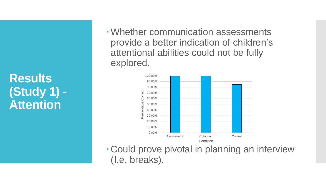**Results (Study 1) - Attention**

Whether communication assessments provide a better indication of children's attentional abilities could not be fully explored.



 Could prove pivotal in planning an interview (I.e. breaks).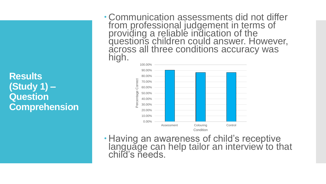**Results (Study 1) – Question Comprehension**  Communication assessments did not differ from professional judgement in terms of providing a reliable indication of the questions children could answer. However, across all three conditions accuracy was high.



 Having an awareness of child's receptive language can help tailor an interview to that child's needs.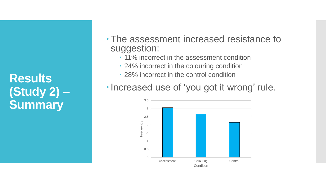**Results (Study 2) – Summary** 

- The assessment increased resistance to suggestion:
	- $\cdot$  11% incorrect in the assessment condition
	- 24% incorrect in the colouring condition
	- 28% incorrect in the control condition
- . Increased use of 'you got it wrong' rule.

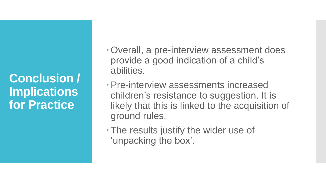**Conclusion / Implications for Practice**

- Overall, a pre-interview assessment does provide a good indication of a child's abilities.
- Pre-interview assessments increased children's resistance to suggestion. It is likely that this is linked to the acquisition of ground rules.
- The results justify the wider use of 'unpacking the box'.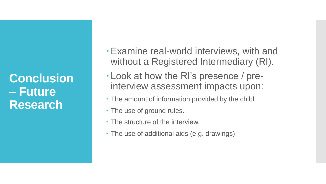**Conclusion – Future Research**

- Examine real-world interviews, with and without a Registered Intermediary (RI).
- Look at how the RI's presence / preinterview assessment impacts upon:
- The amount of information provided by the child.
- The use of ground rules.
- The structure of the interview.
- The use of additional aids (e.g. drawings).